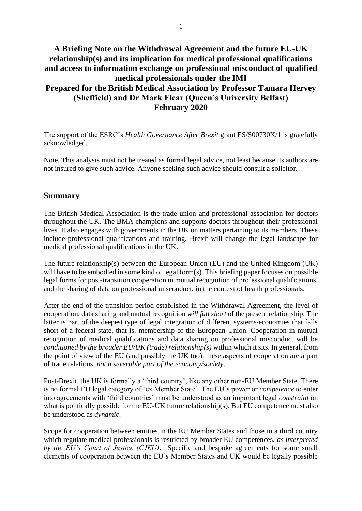# **A Briefing Note on the Withdrawal Agreement and the future EU-UK relationship(s) and its implication for medical professional qualifications and access to information exchange on professional misconduct of qualified medical professionals under the IMI Prepared for the British Medical Association by Professor Tamara Hervey (Sheffield) and Dr Mark Flear (Queen's University Belfast) February 2020**

The support of the ESRC's *Health Governance After Brexit* grant ES/S00730X/1 is gratefully acknowledged.

Note. This analysis must not be treated as formal legal advice, not least because its authors are not insured to give such advice. Anyone seeking such advice should consult a solicitor.

#### **Summary**

The British Medical Association is the trade union and professional association for doctors throughout the UK. The BMA champions and supports doctors throughout their professional lives. It also engages with governments in the UK on matters pertaining to its members. These include professional qualifications and training. Brexit will change the legal landscape for medical professional qualifications in the UK.

The future relationship(s) between the European Union (EU) and the United Kingdom (UK) will have to be embodied in some kind of legal form(s). This briefing paper focuses on possible legal forms for post-transition cooperation in mutual recognition of professional qualifications, and the sharing of data on professional misconduct, in the context of health professionals.

After the end of the transition period established in the Withdrawal Agreement, the level of cooperation, data sharing and mutual recognition *will fall short* of the present relationship. The latter is part of the deepest type of legal integration of different systems/economies that falls short of a federal state, that is, membership of the European Union. Cooperation in mutual recognition of medical qualifications and data sharing on professional misconduct will be *conditioned by the broader EU/UK (trade) relationship(s)* within which it sits. In general, from the point of view of the EU (and possibly the UK too), these aspects of cooperation are a part of trade relations, *not a severable part of the economy/society*.

Post-Brexit, the UK is formally a 'third country', like any other non-EU Member State. There is no formal EU legal category of 'ex Member State'. The EU's power or *competence* to enter into agreements with 'third countries' must be understood as an important legal *constraint* on what is politically possible for the EU-UK future relationship(s). But EU competence must also be understood as *dynamic*.

Scope for cooperation between entities in the EU Member States and those in a third country which regulate medical professionals is restricted by broader EU competences, *as interpreted by the EU's Court of Justice (CJEU)*. Specific and bespoke agreements for some small elements of cooperation between the EU's Member States and UK would be legally possible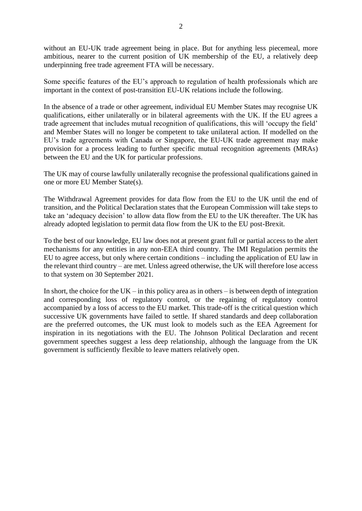without an EU-UK trade agreement being in place. But for anything less piecemeal, more ambitious, nearer to the current position of UK membership of the EU, a relatively deep underpinning free trade agreement FTA will be necessary.

Some specific features of the EU's approach to regulation of health professionals which are important in the context of post-transition EU-UK relations include the following.

In the absence of a trade or other agreement, individual EU Member States may recognise UK qualifications, either unilaterally or in bilateral agreements with the UK. If the EU agrees a trade agreement that includes mutual recognition of qualifications, this will 'occupy the field' and Member States will no longer be competent to take unilateral action. If modelled on the EU's trade agreements with Canada or Singapore, the EU-UK trade agreement may make provision for a process leading to further specific mutual recognition agreements (MRAs) between the EU and the UK for particular professions.

The UK may of course lawfully unilaterally recognise the professional qualifications gained in one or more EU Member State(s).

The Withdrawal Agreement provides for data flow from the EU to the UK until the end of transition, and the Political Declaration states that the European Commission will take steps to take an 'adequacy decision' to allow data flow from the EU to the UK thereafter. The UK has already adopted legislation to permit data flow from the UK to the EU post-Brexit.

To the best of our knowledge, EU law does not at present grant full or partial access to the alert mechanisms for any entities in any non-EEA third country. The IMI Regulation permits the EU to agree access, but only where certain conditions – including the application of EU law in the relevant third country – are met. Unless agreed otherwise, the UK will therefore lose access to that system on 30 September 2021.

In short, the choice for the  $UK$  – in this policy area as in others – is between depth of integration and corresponding loss of regulatory control, or the regaining of regulatory control accompanied by a loss of access to the EU market. This trade-off is the critical question which successive UK governments have failed to settle. If shared standards and deep collaboration are the preferred outcomes, the UK must look to models such as the EEA Agreement for inspiration in its negotiations with the EU. The Johnson Political Declaration and recent government speeches suggest a less deep relationship, although the language from the UK government is sufficiently flexible to leave matters relatively open.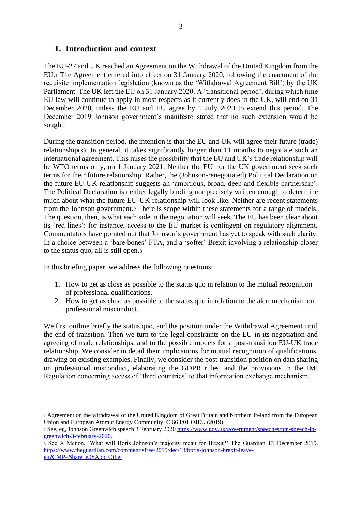#### **1. Introduction and context**

The EU-27 and UK reached an Agreement on the Withdrawal of the United Kingdom from the EU.<sup>1</sup> The Agreement entered into effect on 31 January 2020, following the enactment of the requisite implementation legislation (known as the 'Withdrawal Agreement Bill') by the UK Parliament. The UK left the EU on 31 January 2020. A 'transitional period', during which time EU law will continue to apply in most respects as it currently does in the UK, will end on 31 December 2020, unless the EU and EU agree by 1 July 2020 to extend this period. The December 2019 Johnson government's manifesto stated that no such extension would be sought.

During the transition period, the intention is that the EU and UK will agree their future (trade) relationship(s). In general, it takes significantly longer than 11 months to negotiate such an international agreement. This raises the possibility that the EU and UK's trade relationship will be WTO terms only, on 1 January 2021. Neither the EU nor the UK government seek such terms for their future relationship. Rather, the (Johnson-renegotiated) Political Declaration on the future EU-UK relationship suggests an 'ambitious, broad, deep and flexible partnership'. The Political Declaration is neither legally binding nor precisely written enough to determine much about what the future EU-UK relationship will look like. Neither are recent statements from the Johnson government.<sup>2</sup> There is scope within these statements for a range of models. The question, then, is what each side in the negotiation will seek. The EU has been clear about its 'red lines': for instance, access to the EU market is contingent on regulatory alignment. Commentators have pointed out that Johnson's government has yet to speak with such clarity. In a choice between a 'bare bones' FTA, and a 'softer' Brexit involving a relationship closer to the status quo, all is still open.<sup>3</sup>

In this briefing paper, we address the following questions:

- 1. How to get as close as possible to the status quo in relation to the mutual recognition of professional qualifications.
- 2. How to get as close as possible to the status quo in relation to the alert mechanism on professional misconduct.

We first outline briefly the status quo, and the position under the Withdrawal Agreement until the end of transition. Then we turn to the legal constraints on the EU in its negotiation and agreeing of trade relationships, and to the possible models for a post-transition EU-UK trade relationship. We consider in detail their implications for mutual recognition of qualifications, drawing on existing examples. Finally, we consider the post-transition position on data sharing on professional misconduct, elaborating the GDPR rules, and the provisions in the IMI Regulation concerning access of 'third countries' to that information exchange mechanism.

<sup>1</sup> Agreement on the withdrawal of the United Kingdom of Great Britain and Northern Ireland from the European Union and European Atomic Energy Community, C 66 I/01 OJEU (2019).

<sup>2</sup> See, eg, Johnson Greenwich speech 3 February 202[0 https://www.gov.uk/government/speeches/pm-speech-in](https://www.gov.uk/government/speeches/pm-speech-in-greenwich-3-february-2020)[greenwich-3-february-2020.](https://www.gov.uk/government/speeches/pm-speech-in-greenwich-3-february-2020)

<sup>3</sup> See A Menon, 'What will Boris Johnson's majority mean for Brexit?' The Guardian 13 December 2019. [https://www.theguardian.com/commentisfree/2019/dec/13/boris-johnson-brexit-leave](https://www.theguardian.com/commentisfree/2019/dec/13/boris-johnson-brexit-leave-eu?CMP=Share_iOSApp_Other)[eu?CMP=Share\\_iOSApp\\_Other](https://www.theguardian.com/commentisfree/2019/dec/13/boris-johnson-brexit-leave-eu?CMP=Share_iOSApp_Other)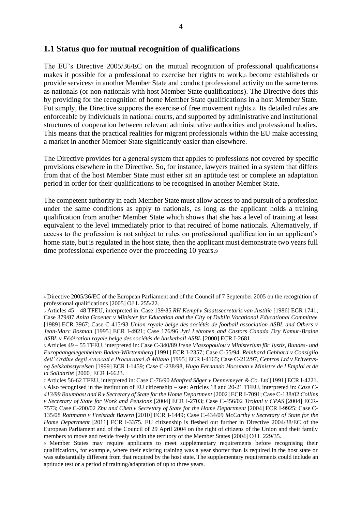#### **1.1 Status quo for mutual recognition of qualifications**

The EU's Directive 2005/36/EC on the mutual recognition of professional qualifications<sup>4</sup> makes it possible for a professional to exercise her rights to work, 5 become established for provide services<sup>7</sup> in another Member State and conduct professional activity on the same terms as nationals (or non-nationals with host Member State qualifications). The Directive does this by providing for the recognition of home Member State qualifications in a host Member State. Put simply, the Directive supports the exercise of free movement rights.<sup>8</sup> Its detailed rules are enforceable by individuals in national courts, and supported by administrative and institutional structures of cooperation between relevant administrative authorities and professional bodies. This means that the practical realities for migrant professionals within the EU make accessing a market in another Member State significantly easier than elsewhere.

The Directive provides for a general system that applies to professions not covered by specific provisions elsewhere in the Directive. So, for instance, lawyers trained in a system that differs from that of the host Member State must either sit an aptitude test or complete an adaptation period in order for their qualifications to be recognised in another Member State.

The competent authority in each Member State must allow access to and pursuit of a profession under the same conditions as apply to nationals, as long as the applicant holds a training qualification from another Member State which shows that she has a level of training at least equivalent to the level immediately prior to that required of home nationals. Alternatively, if access to the profession is not subject to rules on professional qualification in an applicant's home state, but is regulated in the host state, then the applicant must demonstrate two years full time professional experience over the proceeding 10 years.<sup>9</sup>

<sup>6</sup> Articles 49 – 55 TFEU, interpreted in: Case C-340/89 *Irene Vlassopoulou v Ministerium für Justiz, Bundes- und Europaangelegenheiten Baden-Württemberg* [1991] ECR I-2357; Case C-55/94, *Reinhard Gebhard v Consiglio dell' Ordine degli Avvocati e Procuratori di Milano* [1995] ECR I-4165; Case C-212/97*, Centros Ltd v Erhvervsog Selskabsstyrelsen* [1999] ECR I-1459; Case C-238/98, *Hugo Fernando Hocsman v Ministre de l'Emploi et de la Solidarité* [2000] ECR I-6623.

<sup>7</sup> Articles 56-62 TFEU, interpreted in: Case C-76/90 *Manfred Säger v Dennemeyer & Co. Ltd* [1991] ECR I-4221. <sup>8</sup> Also recognised in the institution of EU citizenship – see: Articles 18 and 20-21 TFEU, interpreted in: *Case C-413/99 Baumbast and R v Secretary of State for the Home Department* [2002] ECR I-7091; Case C-138/02 *Collins v Secretary of State for Work and Pensions* [2004] ECR I-2703; Case C-456/02 *Trojani v CPAS* [2004] ECR-7573; Case C-200/02 *Zhu and Chen v Secretary of State for the Home Department* [2004] ECR I-9925; Case C-135/08 *Rottmann v Freistadt Bayern* [2010] ECR I-1449; Case C-434/09 *McCarthy v Secretary of State for the Home Department* [2011] ECR I-3375. EU citizenship is fleshed out further in Directive 2004/38/EC of the European Parliament and of the Council of 29 April 2004 on the right of citizens of the Union and their family members to move and reside freely within the territory of the Member States [2004] OJ L 229/35.

<sup>9</sup> Member States may require applicants to meet supplementary requirements before recognising their qualifications, for example, where their existing training was a year shorter than is required in the host state or was substantially different from that required by the host state. The supplementary requirements could include an aptitude test or a period of training/adaptation of up to three years.

<sup>4</sup> Directive 2005/36/EC of the European Parliament and of the Council of 7 September 2005 on the recognition of professional qualifications [2005] OJ L 255/22.

<sup>5</sup> Articles 45 – 48 TFEU, interpreted in: Case 139/85 *RH Kempf v Staatssecretaris van Justitie* [1986] ECR 1741; Case 379/87 *Anita Groener v Minister for Education and the City of Dublin Vocational Educational Committee*  [1989] ECR 3967; Case C-415/93 *Union royale belge des sociétés de football association ASBL and Others v Jean-Marc Bosman* [1995] ECR I-4921; Case 176/96 *Jyri Lehtonen and Castors Canada Dry Namur-Braine ASBL v Fédération royale belge des sociétés de basketball ASBL* [2000] ECR I-2681.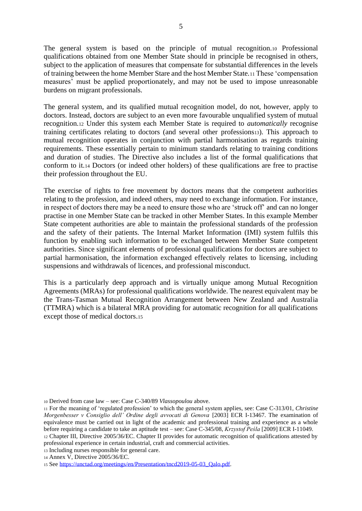The general system is based on the principle of mutual recognition.<sup>10</sup> Professional qualifications obtained from one Member State should in principle be recognised in others, subject to the application of measures that compensate for substantial differences in the levels of training between the home Member Stare and the host Member State.<sup>11</sup> These 'compensation measures' must be applied proportionately, and may not be used to impose unreasonable burdens on migrant professionals.

The general system, and its qualified mutual recognition model, do not, however, apply to doctors. Instead, doctors are subject to an even more favourable unqualified system of mutual recognition.<sup>12</sup> Under this system each Member State is required to *automatically* recognise training certificates relating to doctors (and several other professions13). This approach to mutual recognition operates in conjunction with partial harmonisation as regards training requirements. These essentially pertain to minimum standards relating to training conditions and duration of studies. The Directive also includes a list of the formal qualifications that conform to it.<sup>14</sup> Doctors (or indeed other holders) of these qualifications are free to practise their profession throughout the EU.

The exercise of rights to free movement by doctors means that the competent authorities relating to the profession, and indeed others, may need to exchange information. For instance, in respect of doctors there may be a need to ensure those who are 'struck off' and can no longer practise in one Member State can be tracked in other Member States. In this example Member State competent authorities are able to maintain the professional standards of the profession and the safety of their patients. The Internal Market Information (IMI) system fulfils this function by enabling such information to be exchanged between Member State competent authorities. Since significant elements of professional qualifications for doctors are subject to partial harmonisation, the information exchanged effectively relates to licensing, including suspensions and withdrawals of licences, and professional misconduct.

This is a particularly deep approach and is virtually unique among Mutual Recognition Agreements (MRAs) for professional qualifications worldwide. The nearest equivalent may be the Trans-Tasman Mutual Recognition Arrangement between New Zealand and Australia (TTMRA) which is a bilateral MRA providing for automatic recognition for all qualifications except those of medical doctors.<sup>15</sup>

<sup>10</sup> Derived from case law – see: Case C-340/89 *Vlassopoulou* above.

<sup>11</sup> For the meaning of 'regulated profession' to which the general system applies, see: Case C-313/01, *Christine Morgenbesser v Consiglio dell' Ordine degli avvocati di Genova* [2003] ECR I-13467. The examination of equivalence must be carried out in light of the academic and professional training and experience as a whole before requiring a candidate to take an aptitude test – see: Case C-345/08, *Krzystof Peśla* [2009] ECR I-11049. <sup>12</sup> Chapter III, Directive 2005/36/EC. Chapter II provides for automatic recognition of qualifications attested by professional experience in certain industrial, craft and commercial activities.

<sup>13</sup> Including nurses responsible for general care.

<sup>14</sup> Annex V, Directive 2005/36/EC.

<sup>15</sup> See [https://unctad.org/meetings/en/Presentation/tncd2019-05-03\\_Qalo.pdf.](https://unctad.org/meetings/en/Presentation/tncd2019-05-03_Qalo.pdf)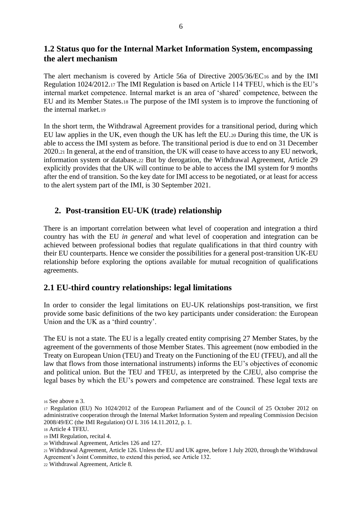### **1.2 Status quo for the Internal Market Information System, encompassing the alert mechanism**

The alert mechanism is covered by Article 56a of Directive 2005/36/EC<sup>16</sup> and by the IMI Regulation 1024/2012.<sup>17</sup> The IMI Regulation is based on Article 114 TFEU, which is the EU's internal market competence. Internal market is an area of 'shared' competence, between the EU and its Member States.<sup>18</sup> The purpose of the IMI system is to improve the functioning of the internal market.<sup>19</sup>

In the short term, the Withdrawal Agreement provides for a transitional period, during which EU law applies in the UK, even though the UK has left the EU.<sup>20</sup> During this time, the UK is able to access the IMI system as before. The transitional period is due to end on 31 December 2020.<sup>21</sup> In general, at the end of transition, the UK will cease to have access to any EU network, information system or database.<sup>22</sup> But by derogation, the Withdrawal Agreement, Article 29 explicitly provides that the UK will continue to be able to access the IMI system for 9 months after the end of transition. So the key date for IMI access to be negotiated, or at least for access to the alert system part of the IMI, is 30 September 2021.

#### **2. Post-transition EU-UK (trade) relationship**

There is an important correlation between what level of cooperation and integration a third country has with the EU *in general* and what level of cooperation and integration can be achieved between professional bodies that regulate qualifications in that third country with their EU counterparts. Hence we consider the possibilities for a general post-transition UK-EU relationship before exploring the options available for mutual recognition of qualifications agreements.

#### **2.1 EU-third country relationships: legal limitations**

In order to consider the legal limitations on EU-UK relationships post-transition, we first provide some basic definitions of the two key participants under consideration: the European Union and the UK as a 'third country'.

The EU is not a state. The EU is a legally created entity comprising 27 Member States, by the agreement of the governments of those Member States. This agreement (now embodied in the Treaty on European Union (TEU) and Treaty on the Functioning of the EU (TFEU), and all the law that flows from those international instruments) informs the EU's objectives of economic and political union. But the TEU and TFEU, as interpreted by the CJEU, also comprise the legal bases by which the EU's powers and competence are constrained. These legal texts are

<sup>19</sup> IMI Regulation, recital 4.

<sup>16</sup> See above n 3.

<sup>17</sup> Regulation (EU) No 1024/2012 of the European Parliament and of the Council of 25 October 2012 on administrative cooperation through the Internal Market Information System and repealing Commission Decision 2008/49/EC (the IMI Regulation) OJ L 316 14.11.2012, p. 1.

<sup>18</sup> Article 4 TFEU.

<sup>20</sup> Withdrawal Agreement, Articles 126 and 127.

<sup>21</sup> Withdrawal Agreement, Article 126. Unless the EU and UK agree, before 1 July 2020, through the Withdrawal Agreement's Joint Committee, to extend this period, see Article 132.

<sup>22</sup> Withdrawal Agreement, Article 8.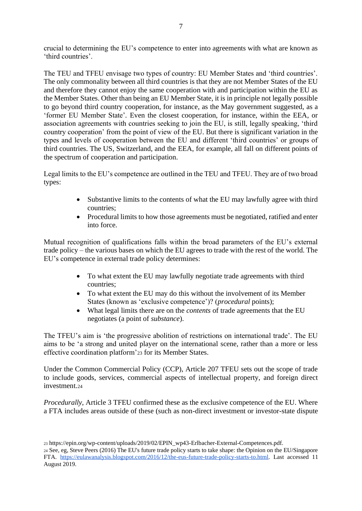crucial to determining the EU's competence to enter into agreements with what are known as 'third countries'.

The TEU and TFEU envisage two types of country: EU Member States and 'third countries'. The only commonality between all third countries is that they are not Member States of the EU and therefore they cannot enjoy the same cooperation with and participation within the EU as the Member States. Other than being an EU Member State, it is in principle not legally possible to go beyond third country cooperation, for instance, as the May government suggested, as a 'former EU Member State'*.* Even the closest cooperation, for instance, within the EEA, or association agreements with countries seeking to join the EU, is still, legally speaking, 'third country cooperation' from the point of view of the EU. But there is significant variation in the types and levels of cooperation between the EU and different 'third countries' or groups of third countries. The US, Switzerland, and the EEA, for example, all fall on different points of the spectrum of cooperation and participation.

Legal limits to the EU's competence are outlined in the TEU and TFEU. They are of two broad types:

- Substantive limits to the contents of what the EU may lawfully agree with third countries;
- Procedural limits to how those agreements must be negotiated, ratified and enter into force.

Mutual recognition of qualifications falls within the broad parameters of the EU's external trade policy – the various bases on which the EU agrees to trade with the rest of the world. The EU's competence in external trade policy determines:

- To what extent the EU may lawfully negotiate trade agreements with third countries;
- To what extent the EU may do this without the involvement of its Member States (known as 'exclusive competence')? (*procedural* points);
- What legal limits there are on the *contents* of trade agreements that the EU negotiates (a point of *substance*).

The TFEU's aim is 'the progressive abolition of restrictions on international trade'. The EU aims to be 'a strong and united player on the international scene, rather than a more or less effective coordination platform'<sup>23</sup> for its Member States.

Under the Common Commercial Policy (CCP), Article 207 TFEU sets out the scope of trade to include goods, services, commercial aspects of intellectual property, and foreign direct investment.<sup>24</sup>

*Procedurally*, Article 3 TFEU confirmed these as the exclusive competence of the EU. Where a FTA includes areas outside of these (such as non-direct investment or investor-state dispute

<sup>23</sup> https://epin.org/wp-content/uploads/2019/02/EPIN\_wp43-Erlbacher-External-Competences.pdf.

<sup>24</sup> See, eg, Steve Peers (2016) The EU's future trade policy starts to take shape: the Opinion on the EU/Singapore FTA[.](https://eulawanalysis.blogspot.com/2016/12/the-eus-future-trade-policy-starts-to.html) [https://eulawanalysis.blogspot.com/2016/12/the-eus-future-trade-policy-starts-to.html.](https://eulawanalysis.blogspot.com/2016/12/the-eus-future-trade-policy-starts-to.html) Last accessed 11 August 2019.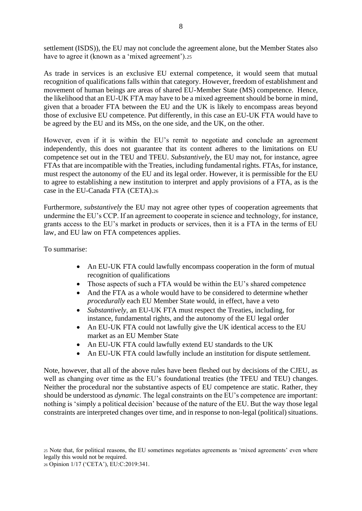settlement (ISDS)), the EU may not conclude the agreement alone, but the Member States also have to agree it (known as a 'mixed agreement').25

As trade in services is an exclusive EU external competence, it would seem that mutual recognition of qualifications falls within that category. However, freedom of establishment and movement of human beings are areas of shared EU-Member State (MS) competence. Hence, the likelihood that an EU-UK FTA may have to be a mixed agreement should be borne in mind, given that a broader FTA between the EU and the UK is likely to encompass areas beyond those of exclusive EU competence. Put differently, in this case an EU-UK FTA would have to be agreed by the EU and its MSs, on the one side, and the UK, on the other.

However, even if it is within the EU's remit to negotiate and conclude an agreement independently, this does not guarantee that its content adheres to the limitations on EU competence set out in the TEU and TFEU. *Substantively*, the EU may not, for instance, agree FTAs that are incompatible with the Treaties, including fundamental rights. FTAs, for instance, must respect the autonomy of the EU and its legal order. However, it is permissible for the EU to agree to establishing a new institution to interpret and apply provisions of a FTA, as is the case in the EU-Canada FTA (CETA).<sup>26</sup>

Furthermore, *substantively* the EU may not agree other types of cooperation agreements that undermine the EU's CCP. If an agreement to cooperate in science and technology, for instance, grants access to the EU's market in products or services, then it is a FTA in the terms of EU law, and EU law on FTA competences applies.

To summarise:

- An EU-UK FTA could lawfully encompass cooperation in the form of mutual recognition of qualifications
- Those aspects of such a FTA would be within the EU's shared competence
- And the FTA as a whole would have to be considered to determine whether *procedurally* each EU Member State would, in effect, have a veto
- *Substantively*, an EU-UK FTA must respect the Treaties, including, for instance, fundamental rights, and the autonomy of the EU legal order
- An EU-UK FTA could not lawfully give the UK identical access to the EU market as an EU Member State
- An EU-UK FTA could lawfully extend EU standards to the UK
- An EU-UK FTA could lawfully include an institution for dispute settlement.

Note, however, that all of the above rules have been fleshed out by decisions of the CJEU, as well as changing over time as the EU's foundational treaties (the TFEU and TEU) changes. Neither the procedural nor the substantive aspects of EU competence are static. Rather, they should be understood as *dynamic*. The legal constraints on the EU's competence are important: nothing is 'simply a political decision' because of the nature of the EU. But the way those legal constraints are interpreted changes over time, and in response to non-legal (political) situations.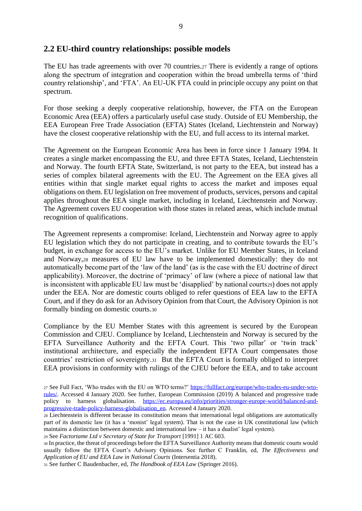#### **2.2 EU-third country relationships: possible models**

The EU has trade agreements with over 70 countries.<sup>27</sup> There is evidently a range of options along the spectrum of integration and cooperation within the broad umbrella terms of 'third country relationship', and 'FTA'. An EU-UK FTA could in principle occupy any point on that spectrum.

For those seeking a deeply cooperative relationship, however, the FTA on the European Economic Area (EEA) offers a particularly useful case study. Outside of EU Membership, the EEA European Free Trade Association (EFTA) States (Iceland, Liechtenstein and Norway) have the closest cooperative relationship with the EU, and full access to its internal market.

The Agreement on the European Economic Area has been in force since 1 January 1994. It creates a single market encompassing the EU, and three EFTA States, Iceland, Liechtenstein and Norway. The fourth EFTA State, Switzerland, is not party to the EEA, but instead has a series of complex bilateral agreements with the EU. The Agreement on the EEA gives all entities within that single market equal rights to access the market and imposes equal obligations on them. EU legislation on free movement of products, services, persons and capital applies throughout the EEA single market, including in Iceland, Liechtenstein and Norway. The Agreement covers EU cooperation with those states in related areas, which include mutual recognition of qualifications.

The Agreement represents a compromise: Iceland, Liechtenstein and Norway agree to apply EU legislation which they do not participate in creating, and to contribute towards the EU's budget, in exchange for access to the EU's market. Unlike for EU Member States, in Iceland and Norway,<sup>28</sup> measures of EU law have to be implemented domestically: they do not automatically become part of the 'law of the land' (as is the case with the EU doctrine of direct applicability). Moreover, the doctrine of 'primacy' of law (where a piece of national law that is inconsistent with applicable EU law must be 'disapplied' by national courts<sub>29</sub>) does not apply under the EEA. Nor are domestic courts obliged to refer questions of EEA law to the EFTA Court, and if they do ask for an Advisory Opinion from that Court, the Advisory Opinion is not formally binding on domestic courts.<sup>30</sup>

Compliance by the EU Member States with this agreement is secured by the European Commission and CJEU. Compliance by Iceland, Liechtenstein and Norway is secured by the EFTA Surveillance Authority and the EFTA Court. This 'two pillar' or 'twin track' institutional architecture, and especially the independent EFTA Court compensates those countries' restriction of sovereignty.31 But the EFTA Court is formally obliged to interpret EEA provisions in conformity with rulings of the CJEU before the EEA, and to take account

<sup>27</sup> See Full Fact, 'Who trades with the EU on WTO terms?' [https://fullfact.org/europe/who-trades-eu-under-wto](https://fullfact.org/europe/who-trades-eu-under-wto-rules/)[rules/.](https://fullfact.org/europe/who-trades-eu-under-wto-rules/) Accessed 4 January 2020. See further, European Commission (2019) A balanced and progressive trade policy to harness globalisation. [https://ec.europa.eu/info/priorities/stronger-europe-world/balanced-and](https://ec.europa.eu/info/priorities/stronger-europe-world/balanced-and-progressive-trade-policy-harness-globalisation_en)[progressive-trade-policy-harness-globalisation\\_en.](https://ec.europa.eu/info/priorities/stronger-europe-world/balanced-and-progressive-trade-policy-harness-globalisation_en) Accessed 4 January 2020.

<sup>28</sup> Liechtenstein is different because its constitution means that international legal obligations are automatically part of its domestic law (it has a 'monist' legal system). That is not the case in UK constitutional law (which maintains a distinction between domestic and international law – it has a dualist' legal system).

<sup>29</sup> See *Factortame Ltd v Secretary of State for Transport* [1991] 1 AC 603.

<sup>30</sup> In practice, the threat of proceedings before the EFTA Surveillance Authority means that domestic courts would usually follow the EFTA Court's Advisory Opinions. See further C Franklin, ed, *The Effectiveness and Application of EU and EEA Law in National Courts* (Intersentia 2018).

<sup>31</sup> See further C Baudenbacher, ed, *The Handbook of EEA Law* (Springer 2016).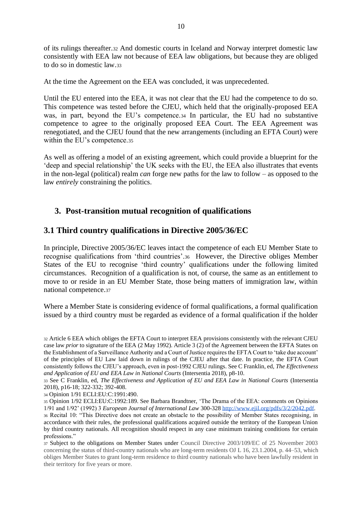of its rulings thereafter.<sup>32</sup> And domestic courts in Iceland and Norway interpret domestic law consistently with EEA law not because of EEA law obligations, but because they are obliged to do so in domestic law.<sup>33</sup>

At the time the Agreement on the EEA was concluded, it was unprecedented.

Until the EU entered into the EEA, it was not clear that the EU had the competence to do so. This competence was tested before the CJEU, which held that the originally-proposed EEA was, in part, beyond the EU's competence.<sup>34</sup> In particular, the EU had no substantive competence to agree to the originally proposed EEA Court. The EEA Agreement was renegotiated, and the CJEU found that the new arrangements (including an EFTA Court) were within the EU's competence.35

As well as offering a model of an existing agreement, which could provide a blueprint for the 'deep and special relationship' the UK seeks with the EU, the EEA also illustrates that events in the non-legal (political) realm *can* forge new paths for the law to follow – as opposed to the law *entirely* constraining the politics.

## **3. Post-transition mutual recognition of qualifications**

#### **3.1 Third country qualifications in Directive 2005/36/EC**

In principle, Directive 2005/36/EC leaves intact the competence of each EU Member State to recognise qualifications from 'third countries'.36 However, the Directive obliges Member States of the EU to recognise 'third country' qualifications under the following limited circumstances. Recognition of a qualification is not, of course, the same as an entitlement to move to or reside in an EU Member State, those being matters of immigration law, within national competence.<sup>37</sup>

Where a Member State is considering evidence of formal qualifications, a formal qualification issued by a third country must be regarded as evidence of a formal qualification if the holder

<sup>34</sup> Opinion 1/91 ECLI:EU:C:1991:490.

<sup>32</sup> Article 6 EEA which obliges the EFTA Court to interpret EEA provisions consistently with the relevant CJEU case law *prior* to signature of the EEA (2 May 1992). Article 3 (2) of the Agreement between the EFTA States on the Establishment of a Surveillance Authority and a Court of Justice requires the EFTA Court to 'take due account' of the principles of EU Law laid down in rulings of the CJEU after that date. In practice, the EFTA Court consistently follows the CJEU's approach, even in post-1992 CJEU rulings. See C Franklin, ed, *The Effectiveness and Application of EU and EEA Law in National Courts* (Intersentia 2018), p8-10.

<sup>33</sup> See C Franklin, ed, *The Effectiveness and Application of EU and EEA Law in National Courts* (Intersentia 2018), p16-18; 322-332; 392-408.

<sup>35</sup> Opinion 1/92 ECLI:EU:C:1992:189. See Barbara Brandtner, 'The Drama of the EEA: comments on Opinions 1/91 and 1/92' (1992) 3 *European Journal of International Law* 300-32[8](http://www.ejil.org/pdfs/3/2/2042.pdf) [http://www.ejil.org/pdfs/3/2/2042.pdf.](http://www.ejil.org/pdfs/3/2/2042.pdf)

<sup>36</sup> Recital 10: "This Directive does not create an obstacle to the possibility of Member States recognising, in accordance with their rules, the professional qualifications acquired outside the territory of the European Union by third country nationals. All recognition should respect in any case minimum training conditions for certain professions."

<sup>37</sup> Subject to the obligations on Member States under Council Directive 2003/109/EC of 25 November 2003 concerning the status of third-country nationals who are long-term residents OJ L 16, 23.1.2004, p. 44–53, which obliges Member States to grant long-term residence to third country nationals who have been lawfully resident in their territory for five years or more*.*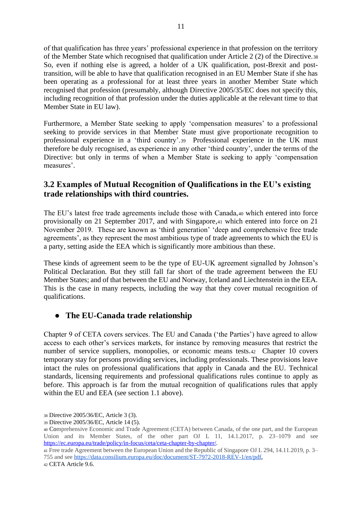of that qualification has three years' professional experience in that profession on the territory of the Member State which recognised that qualification under Article 2 (2) of the Directive.<sup>38</sup> So, even if nothing else is agreed, a holder of a UK qualification, post-Brexit and posttransition, will be able to have that qualification recognised in an EU Member State if she has been operating as a professional for at least three years in another Member State which recognised that profession (presumably, although Directive 2005/35/EC does not specify this, including recognition of that profession under the duties applicable at the relevant time to that Member State in EU law).

Furthermore, a Member State seeking to apply 'compensation measures' to a professional seeking to provide services in that Member State must give proportionate recognition to professional experience in a 'third country'.39 Professional experience in the UK must therefore be duly recognised, as experience in any other 'third country', under the terms of the Directive: but only in terms of when a Member State is seeking to apply 'compensation measures'.

### **3.2 Examples of Mutual Recognition of Qualifications in the EU's existing trade relationships with third countries.**

The EU's latest free trade agreements include those with Canada,<sup>40</sup> which entered into force provisionally on 21 September 2017, and with Singapore,<sup>41</sup> which entered into force on 21 November 2019. These are known as 'third generation' 'deep and comprehensive free trade agreements', as they represent the most ambitious type of trade agreements to which the EU is a party, setting aside the EEA which is significantly more ambitious than these.

These kinds of agreement seem to be the type of EU-UK agreement signalled by Johnson's Political Declaration. But they still fall far short of the trade agreement between the EU Member States; and of that between the EU and Norway, Iceland and Liechtenstein in the EEA. This is the case in many respects, including the way that they cover mutual recognition of qualifications.

## ● **The EU-Canada trade relationship**

Chapter 9 of CETA covers services. The EU and Canada ('the Parties') have agreed to allow access to each other's services markets, for instance by removing measures that restrict the number of service suppliers, monopolies, or economic means tests.42 Chapter 10 covers temporary stay for persons providing services, including professionals. These provisions leave intact the rules on professional qualifications that apply in Canada and the EU. Technical standards, licensing requirements and professional qualifications rules continue to apply as before. This approach is far from the mutual recognition of qualifications rules that apply within the EU and EEA (see section 1.1 above).

<sup>38</sup> Directive 2005/36/EC, Article 3 (3).

<sup>39</sup> Directive 2005/36/EC, Article 14 (5).

<sup>40</sup> Comprehensive Economic and Trade Agreement (CETA) between Canada, of the one part, and the European Union and its Member States, of the other part OJ L 11, 14.1.2017, p. 23–1079 and see [https://ec.europa.eu/trade/policy/in-focus/ceta/ceta-chapter-by-chapter/.](https://ec.europa.eu/trade/policy/in-focus/ceta/ceta-chapter-by-chapter/)

<sup>41</sup> Free trade Agreement between the European Union and the Republic of Singapore OJ L 294, 14.11.2019, p. 3– 755 and see [https://data.consilium.europa.eu/doc/document/ST-7972-2018-REV-1/en/pdf,](https://data.consilium.europa.eu/doc/document/ST-7972-2018-REV-1/en/pdf)

<sup>42</sup> CETA Article 9.6.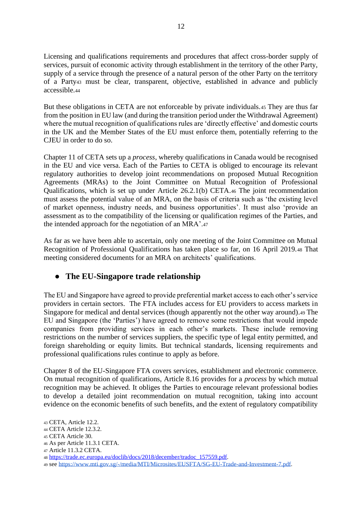Licensing and qualifications requirements and procedures that affect cross-border supply of services, pursuit of economic activity through establishment in the territory of the other Party, supply of a service through the presence of a natural person of the other Party on the territory of a Party<sup>43</sup> must be clear, transparent, objective, established in advance and publicly accessible.<sup>44</sup>

But these obligations in CETA are not enforceable by private individuals.<sup>45</sup> They are thus far from the position in EU law (and during the transition period under the Withdrawal Agreement) where the mutual recognition of qualifications rules are 'directly effective' and domestic courts in the UK and the Member States of the EU must enforce them, potentially referring to the CJEU in order to do so.

Chapter 11 of CETA sets up a *process*, whereby qualifications in Canada would be recognised in the EU and vice versa. Each of the Parties to CETA is obliged to encourage its relevant regulatory authorities to develop joint recommendations on proposed Mutual Recognition Agreements (MRAs) to the Joint Committee on Mutual Recognition of Professional Qualifications, which is set up under Article 26.2.1(b) CETA.<sup>46</sup> The joint recommendation must assess the potential value of an MRA, on the basis of criteria such as 'the existing level of market openness, industry needs, and business opportunities'. It must also 'provide an assessment as to the compatibility of the licensing or qualification regimes of the Parties, and the intended approach for the negotiation of an MRA'.<sup>47</sup>

As far as we have been able to ascertain, only one meeting of the Joint Committee on Mutual Recognition of Professional Qualifications has taken place so far, on 16 April 2019.<sup>48</sup> That meeting considered documents for an MRA on architects' qualifications.

## ● **The EU-Singapore trade relationship**

The EU and Singapore have agreed to provide preferential market access to each other's service providers in certain sectors. The FTA includes access for EU providers to access markets in Singapore for medical and dental services (though apparently not the other way around).<sup>49</sup> The EU and Singapore (the 'Parties') have agreed to remove some restrictions that would impede companies from providing services in each other's markets. These include removing restrictions on the number of services suppliers, the specific type of legal entity permitted, and foreign shareholding or equity limits. But technical standards, licensing requirements and professional qualifications rules continue to apply as before.

Chapter 8 of the EU-Singapore FTA covers services, establishment and electronic commerce. On mutual recognition of qualifications, Article 8.16 provides for a *process* by which mutual recognition may be achieved. It obliges the Parties to encourage relevant professional bodies to develop a detailed joint recommendation on mutual recognition, taking into account evidence on the economic benefits of such benefits, and the extent of regulatory compatibility

<sup>43</sup> CETA, Article 12.2.

<sup>44</sup> CETA Article 12.3.2.

<sup>45</sup> CETA Article 30.

<sup>46</sup> As per Article 11.3.1 CETA.

<sup>47</sup> Article 11.3.2 CETA.

<sup>48</sup> [https://trade.ec.europa.eu/doclib/docs/2018/december/tradoc\\_157559.pdf.](https://trade.ec.europa.eu/doclib/docs/2018/december/tradoc_157559.pdf)

<sup>49</sup> see [https://www.mti.gov.sg/-/media/MTI/Microsites/EUSFTA/SG-EU-Trade-and-Investment-7.pdf.](https://www.mti.gov.sg/-/media/MTI/Microsites/EUSFTA/SG-EU-Trade-and-Investment-7.pdf)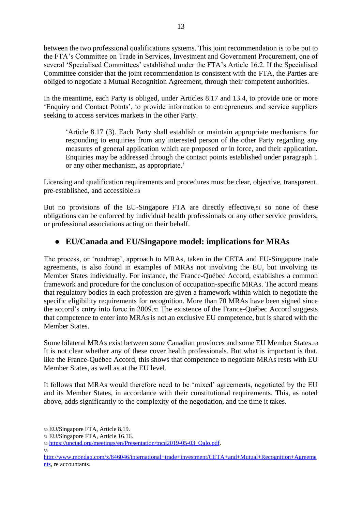between the two professional qualifications systems. This joint recommendation is to be put to the FTA's Committee on Trade in Services, Investment and Government Procurement, one of several 'Specialised Committees' established under the FTA's Article 16.2. If the Specialised Committee consider that the joint recommendation is consistent with the FTA, the Parties are obliged to negotiate a Mutual Recognition Agreement, through their competent authorities.

In the meantime, each Party is obliged, under Articles 8.17 and 13.4, to provide one or more 'Enquiry and Contact Points', to provide information to entrepreneurs and service suppliers seeking to access services markets in the other Party.

'Article 8.17 (3). Each Party shall establish or maintain appropriate mechanisms for responding to enquiries from any interested person of the other Party regarding any measures of general application which are proposed or in force, and their application. Enquiries may be addressed through the contact points established under paragraph 1 or any other mechanism, as appropriate.'

Licensing and qualification requirements and procedures must be clear, objective, transparent, pre-established, and accessible.<sup>50</sup>

But no provisions of the EU-Singapore FTA are directly effective, 51 so none of these obligations can be enforced by individual health professionals or any other service providers, or professional associations acting on their behalf.

#### ● **EU/Canada and EU/Singapore model: implications for MRAs**

The process, or 'roadmap', approach to MRAs, taken in the CETA and EU-Singapore trade agreements, is also found in examples of MRAs not involving the EU, but involving its Member States individually. For instance, the France-Québec Accord, establishes a common framework and procedure for the conclusion of occupation-specific MRAs. The accord means that regulatory bodies in each profession are given a framework within which to negotiate the specific eligibility requirements for recognition. More than 70 MRAs have been signed since the accord's entry into force in 2009.<sup>52</sup> The existence of the France-Québec Accord suggests that competence to enter into MRAs is not an exclusive EU competence, but is shared with the Member States.

Some bilateral MRAs exist between some Canadian provinces and some EU Member States.<sup>53</sup> It is not clear whether any of these cover health professionals. But what is important is that, like the France-Québec Accord, this shows that competence to negotiate MRAs rests with EU Member States, as well as at the EU level.

It follows that MRAs would therefore need to be 'mixed' agreements, negotiated by the EU and its Member States, in accordance with their constitutional requirements. This, as noted above, adds significantly to the complexity of the negotiation, and the time it takes.

<sup>50</sup> EU/Singapore FTA, Article 8.19.

<sup>51</sup> EU/Singapore FTA, Article 16.16.

<sup>52</sup> [https://unctad.org/meetings/en/Presentation/tncd2019-05-03\\_Qalo.pdf.](https://unctad.org/meetings/en/Presentation/tncd2019-05-03_Qalo.pdf)

<sup>53</sup>

[http://www.mondaq.com/x/846046/international+trade+investment/CETA+and+Mutual+Recognition+Agreeme](http://www.mondaq.com/x/846046/international+trade+investment/CETA+and+Mutual+Recognition+Agreements) [nts,](http://www.mondaq.com/x/846046/international+trade+investment/CETA+and+Mutual+Recognition+Agreements) re accountants.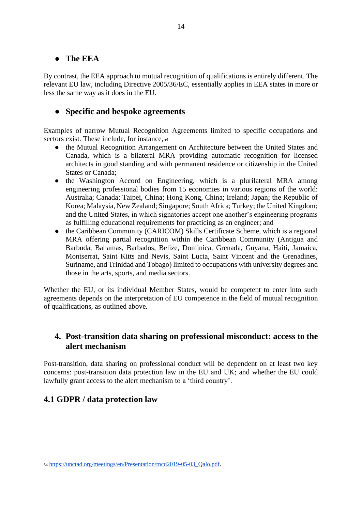#### ● **The EEA**

By contrast, the EEA approach to mutual recognition of qualifications is entirely different. The relevant EU law, including Directive 2005/36/EC, essentially applies in EEA states in more or less the same way as it does in the EU.

### ● **Specific and bespoke agreements**

Examples of narrow Mutual Recognition Agreements limited to specific occupations and sectors exist. These include, for instance,  $54$ 

- the Mutual Recognition Arrangement on Architecture between the United States and Canada, which is a bilateral MRA providing automatic recognition for licensed architects in good standing and with permanent residence or citizenship in the United States or Canada;
- the Washington Accord on Engineering, which is a plurilateral MRA among engineering professional bodies from 15 economies in various regions of the world: Australia; Canada; Taipei, China; Hong Kong, China; Ireland; Japan; the Republic of Korea; Malaysia, New Zealand; Singapore; South Africa; Turkey; the United Kingdom; and the United States, in which signatories accept one another's engineering programs as fulfilling educational requirements for practicing as an engineer; and
- the Caribbean Community (CARICOM) Skills Certificate Scheme, which is a regional MRA offering partial recognition within the Caribbean Community (Antigua and Barbuda, Bahamas, Barbados, Belize, Dominica, Grenada, Guyana, Haiti, Jamaica, Montserrat, Saint Kitts and Nevis, Saint Lucia, Saint Vincent and the Grenadines, Suriname, and Trinidad and Tobago) limited to occupations with university degrees and those in the arts, sports, and media sectors.

Whether the EU, or its individual Member States, would be competent to enter into such agreements depends on the interpretation of EU competence in the field of mutual recognition of qualifications, as outlined above.

#### **4. Post-transition data sharing on professional misconduct: access to the alert mechanism**

Post-transition, data sharing on professional conduct will be dependent on at least two key concerns: post-transition data protection law in the EU and UK; and whether the EU could lawfully grant access to the alert mechanism to a 'third country'.

## **4.1 GDPR / data protection law**

<sup>54</sup> [https://unctad.org/meetings/en/Presentation/tncd2019-05-03\\_Qalo.pdf.](https://unctad.org/meetings/en/Presentation/tncd2019-05-03_Qalo.pdf)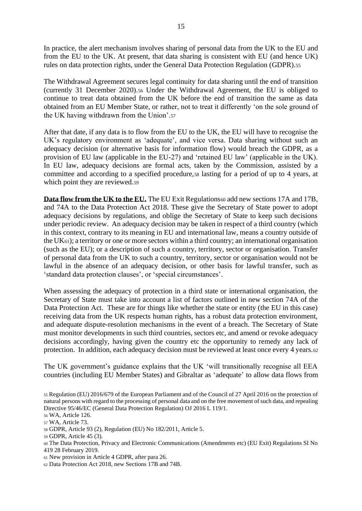In practice, the alert mechanism involves sharing of personal data from the UK to the EU and from the EU to the UK. At present, that data sharing is consistent with EU (and hence UK) rules on data protection rights, under the General Data Protection Regulation (GDPR).<sup>55</sup>

The Withdrawal Agreement secures legal continuity for data sharing until the end of transition (currently 31 December 2020).<sup>56</sup> Under the Withdrawal Agreement, the EU is obliged to continue to treat data obtained from the UK before the end of transition the same as data obtained from an EU Member State, or rather, not to treat it differently 'on the sole ground of the UK having withdrawn from the Union'.<sup>57</sup>

After that date, if any data is to flow from the EU to the UK, the EU will have to recognise the UK's regulatory environment as 'adequate', and vice versa. Data sharing without such an adequacy decision (or alternative basis for information flow) would breach the GDPR, as a provision of EU law (applicable in the EU-27) and 'retained EU law' (applicable in the UK). In EU law, adequacy decisions are formal acts, taken by the Commission, assisted by a committee and according to a specified procedure,<sup>58</sup> lasting for a period of up to 4 years, at which point they are reviewed.59

**Data flow from the UK to the EU.** The EU Exit Regulations 60 add new sections 17A and 17B, and 74A to the Data Protection Act 2018. These give the Secretary of State power to adopt adequacy decisions by regulations, and oblige the Secretary of State to keep such decisions under periodic review. An adequacy decision may be taken in respect of a third country (which in this context, contrary to its meaning in EU and international law, means a country outside of the UK61); a territory or one or more sectors within a third country; an international organisation (such as the EU); or a description of such a country, territory, sector or organisation. Transfer of personal data from the UK to such a country, territory, sector or organisation would not be lawful in the absence of an adequacy decision, or other basis for lawful transfer, such as 'standard data protection clauses', or 'special circumstances'.

When assessing the adequacy of protection in a third state or international organisation, the Secretary of State must take into account a list of factors outlined in new section 74A of the Data Protection Act. These are for things like whether the state or entity (the EU in this case) receiving data from the UK respects human rights, has a robust data protection environment, and adequate dispute-resolution mechanisms in the event of a breach. The Secretary of State must monitor developments in such third countries, sectors etc, and amend or revoke adequacy decisions accordingly, having given the country etc the opportunity to remedy any lack of protection. In addition, each adequacy decision must be reviewed at least once every 4 years.<sup>62</sup>

The UK government's guidance explains that the UK 'will transitionally recognise all EEA countries (including EU Member States) and Gibraltar as 'adequate' to allow data flows from

<sup>58</sup> GDPR, Article 93 (2), Regulation (EU) No 182/2011, Article 5.

<sup>61</sup> New provision in Article 4 GDPR, after para 26.

<sup>55</sup> [Regulation](https://eur-lex.europa.eu/legal-content/AUTO/?uri=CELEX:32016R0679&qid=1561220451668&rid=2) [\(EU\) 2016/679 of the European Parliament and of the Council of 27 April 2016 on the protection of](https://eur-lex.europa.eu/legal-content/AUTO/?uri=CELEX:32016R0679&qid=1561220451668&rid=2)  [natural persons with regard to the processing of personal](https://eur-lex.europa.eu/legal-content/AUTO/?uri=CELEX:32016R0679&qid=1561220451668&rid=2) [data and on the free movement of such data, and repealing](https://eur-lex.europa.eu/legal-content/AUTO/?uri=CELEX:32016R0679&qid=1561220451668&rid=2)  [Directive 95/46/EC \(General Data Protection Regulation\)](https://eur-lex.europa.eu/legal-content/AUTO/?uri=CELEX:32016R0679&qid=1561220451668&rid=2) OJ 2016 L 119/1.

<sup>56</sup> WA, Article 126.

<sup>57</sup> WA, Article 73.

<sup>59</sup> GDPR, Article 45 (3).

<sup>60</sup> The Data Protection, Privacy and Electronic Communications (Amendments etc) (EU Exit) Regulations SI No 419 28 February 2019.

<sup>62</sup> Data Protection Act 2018, new Sections 17B and 74B.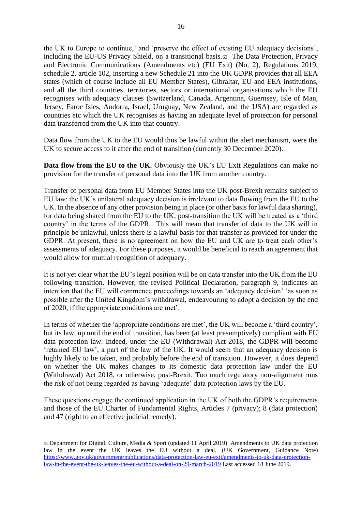the UK to Europe to continue,' and 'preserve the effect of existing EU adequacy decisions', including the EU-US Privacy Shield, on a transitional basis.63 The Data Protection, Privacy and Electronic Communications (Amendments etc) (EU Exit) (No. 2), Regulations 2019, schedule 2, article 102, inserting a new Schedule 21 into the UK GDPR provides that all EEA states (which of course include all EU Member States), Gibraltar, EU and EEA institutions, and all the third countries, territories, sectors or international organisations which the EU recognises with adequacy clauses (Switzerland, Canada, Argentina, Guernsey, Isle of Man, Jersey, Faroe Isles, Andorra, Israel, Uruguay, New Zealand, and the USA) are regarded as countries etc which the UK recognises as having an adequate level of protection for personal data transferred from the UK into that country.

Data flow from the UK to the EU would thus be lawful within the alert mechanism, were the UK to secure access to it after the end of transition (currently 30 December 2020).

**Data flow from the EU to the UK.** Obviously the UK's EU Exit Regulations can make no provision for the transfer of personal data into the UK from another country.

Transfer of personal data from EU Member States into the UK post-Brexit remains subject to EU law; the UK's unilateral adequacy decision is irrelevant to data flowing from the EU to the UK. In the absence of any other provision being in place (or other basis for lawful data sharing), for data being shared from the EU to the UK, post-transition the UK will be treated as a 'third country' in the terms of the GDPR. This will mean that transfer of data to the UK will in principle be unlawful, unless there is a lawful basis for that transfer as provided for under the GDPR. At present, there is no agreement on how the EU and UK are to treat each other's assessments of adequacy. For these purposes, it would be beneficial to reach an agreement that would allow for mutual recognition of adequacy.

It is not yet clear what the EU's legal position will be on data transfer into the UK from the EU following transition. However, the revised Political Declaration, paragraph 9, indicates an intention that the EU will commence proceedings towards an 'adequacy decision' 'as soon as possible after the United Kingdom's withdrawal, endeavouring to adopt a decision by the end of 2020, if the appropriate conditions are met'.

In terms of whether the 'appropriate conditions are met', the UK will become a 'third country', but its law, up until the end of transition, has been (at least presumptively) compliant with EU data protection law. Indeed, under the EU (Withdrawal) Act 2018, the GDPR will become 'retained EU law', a part of the law of the UK. It would seem that an adequacy decision is highly likely to be taken, and probably before the end of transition. However, it does depend on whether the UK makes changes to its domestic data protection law under the EU (Withdrawal) Act 2018, or otherwise, post-Brexit. Too much regulatory non-alignment runs the risk of not being regarded as having 'adequate' data protection laws by the EU.

These questions engage the continued application in the UK of both the GDPR's requirements and those of the EU Charter of Fundamental Rights, Articles 7 (privacy); 8 (data protection) and 47 (right to an effective judicial remedy).

<sup>63</sup> Department for Digital, Culture, Media & Sport (updated 11 April 2019) Amendments to UK data protection law in the event the UK leaves the EU without a deal. (UK Government, Guidance Note[\)](https://www.gov.uk/government/publications/data-protection-law-eu-exit/amendments-to-uk-data-protection-law-in-the-event-the-uk-leaves-the-eu-without-a-deal-on-29-march-2019) [https://www.gov.uk/government/publications/data-protection-law-eu-exit/amendments-to-uk-data-protection](https://www.gov.uk/government/publications/data-protection-law-eu-exit/amendments-to-uk-data-protection-law-in-the-event-the-uk-leaves-the-eu-without-a-deal-on-29-march-2019)[law-in-the-event-the-uk-leaves-the-eu-without-a-deal-on-29-march-2019](https://www.gov.uk/government/publications/data-protection-law-eu-exit/amendments-to-uk-data-protection-law-in-the-event-the-uk-leaves-the-eu-without-a-deal-on-29-march-2019) Last accessed 18 June 2019.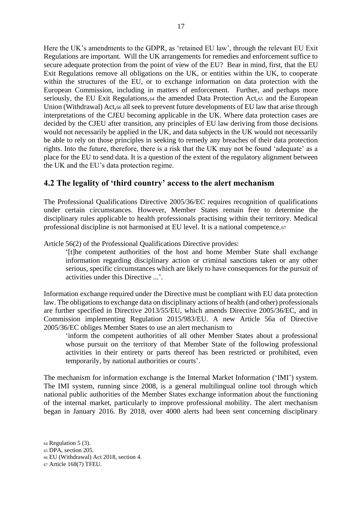Here the UK's amendments to the GDPR, as 'retained EU law', through the relevant EU Exit Regulations are important. Will the UK arrangements for remedies and enforcement suffice to secure adequate protection from the point of view of the EU? Bear in mind, first, that the EU Exit Regulations remove all obligations on the UK, or entities within the UK, to cooperate within the structures of the EU, or to exchange information on data protection with the European Commission, including in matters of enforcement. Further, and perhaps more seriously, the EU Exit Regulations, 64 the amended Data Protection Act, 65 and the European Union (Withdrawal) Act,<sup>66</sup> all seek to prevent future developments of EU law that arise through interpretations of the CJEU becoming applicable in the UK. Where data protection cases are decided by the CJEU after transition, any principles of EU law deriving from those decisions would not necessarily be applied in the UK, and data subjects in the UK would not necessarily be able to rely on those principles in seeking to remedy any breaches of their data protection rights. Into the future, therefore, there is a risk that the UK may not be found 'adequate' as a place for the EU to send data. It is a question of the extent of the regulatory alignment between the UK and the EU's data protection regime.

#### **4.2 The legality of 'third country' access to the alert mechanism**

The Professional Qualifications Directive 2005/36/EC requires recognition of qualifications under certain circumstances. However, Member States remain free to determine the disciplinary rules applicable to health professionals practising within their territory. Medical professional discipline is not harmonised at EU level. It is a national competence.<sup>67</sup>

Article 56(2) of the Professional Qualifications Directive provides:

'[t]he competent authorities of the host and home Member State shall exchange information regarding disciplinary action or criminal sanctions taken or any other serious, specific circumstances which are likely to have consequences for the pursuit of activities under this Directive ...'.

Information exchange required under the Directive must be compliant with EU data protection law. The obligations to exchange data on disciplinary actions of health (and other) professionals are further specified in Directive 2013/55/EU, which amends Directive 2005/36/EC, and in Commission implementing Regulation 2015/983/EU. A new Article 56a of Directive 2005/36/EC obliges Member States to use an alert mechanism to

'inform the competent authorities of all other Member States about a professional whose pursuit on the territory of that Member State of the following professional activities in their entirety or parts thereof has been restricted or prohibited, even temporarily, by national authorities or courts'.

The mechanism for information exchange is the Internal Market Information ('IMI') system. The IMI system, running since 2008, is a general multilingual online tool through which national public authorities of the Member States exchange information about the functioning of the internal market, particularly to improve professional mobility. The alert mechanism began in January 2016. By 2018, over 4000 alerts had been sent concerning disciplinary

<sup>65</sup> DPA, section 205.

<sup>64</sup> Regulation 5 (3).

<sup>66</sup> EU (Withdrawal) Act 2018, section 4.

<sup>67</sup> Article 168(7) TFEU.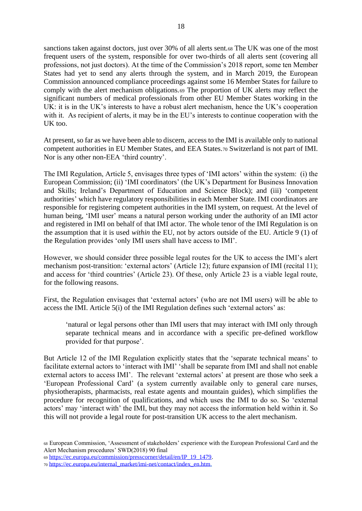sanctions taken against doctors, just over 30% of all alerts sent.<sup>68</sup> The UK was one of the most frequent users of the system, responsible for over two-thirds of all alerts sent (covering all professions, not just doctors). At the time of the Commission's 2018 report, some ten Member States had yet to send any alerts through the system, and in March 2019, the European Commission announced compliance proceedings against some 16 Member States for failure to comply with the alert mechanism obligations.<sup>69</sup> The proportion of UK alerts may reflect the significant numbers of medical professionals from other EU Member States working in the UK: it is in the UK's interests to have a robust alert mechanism, hence the UK's cooperation with it. As recipient of alerts, it may be in the EU's interests to continue cooperation with the UK too.

At present, so far as we have been able to discern, access to the IMI is available only to national competent authorities in EU Member States, and EEA States.<sup>70</sup> Switzerland is not part of IMI. Nor is any other non-EEA 'third country'.

The IMI Regulation, Article 5, envisages three types of 'IMI actors' within the system: (i) the European Commission; (ii) 'IMI coordinators' (the UK's Department for Business Innovation and Skills; Ireland's Department of Education and Science Block); and (iii) 'competent authorities' which have regulatory responsibilities in each Member State. IMI coordinators are responsible for registering competent authorities in the IMI system, on request. At the level of human being, 'IMI user' means a natural person working under the authority of an IMI actor and registered in IMI on behalf of that IMI actor. The whole tenor of the IMI Regulation is on the assumption that it is used *within* the EU, not by actors outside of the EU. Article 9 (1) of the Regulation provides 'only IMI users shall have access to IMI'.

However, we should consider three possible legal routes for the UK to access the IMI's alert mechanism post-transition: 'external actors' (Article 12); future expansion of IMI (recital 11); and access for 'third countries' (Article 23). Of these, only Article 23 is a viable legal route, for the following reasons.

First, the Regulation envisages that 'external actors' (who are not IMI users) will be able to access the IMI. Article 5(i) of the IMI Regulation defines such 'external actors' as:

'natural or legal persons other than IMI users that may interact with IMI only through separate technical means and in accordance with a specific pre-defined workflow provided for that purpose'.

But Article 12 of the IMI Regulation explicitly states that the 'separate technical means' to facilitate external actors to 'interact with IMI' 'shall be separate from IMI and shall not enable external actors to access IMI'. The relevant 'external actors' at present are those who seek a 'European Professional Card' (a system currently available only to general care nurses, physiotherapists, pharmacists, real estate agents and mountain guides), which simplifies the procedure for recognition of qualifications, and which uses the IMI to do so. So 'external actors' may 'interact with' the IMI, but they may not access the information held within it. So this will not provide a legal route for post-transition UK access to the alert mechanism.

<sup>68</sup> European Commission, 'Assessment of stakeholders' experience with the European Professional Card and the Alert Mechanism procedures' SWD(2018) 90 final

<sup>69</sup> [https://ec.europa.eu/commission/presscorner/detail/en/IP\\_19\\_1479.](https://ec.europa.eu/commission/presscorner/detail/en/IP_19_1479)

<sup>70</sup> [https://ec.europa.eu/internal\\_market/imi-net/contact/index\\_en.htm.](https://ec.europa.eu/internal_market/imi-net/contact/index_en.htm)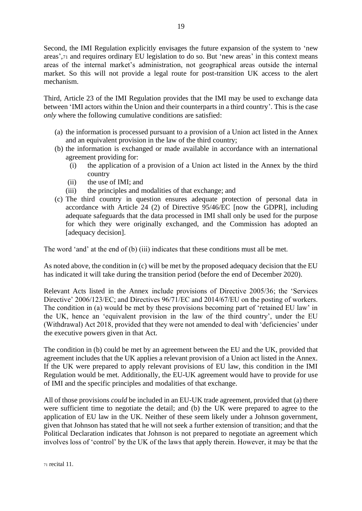Second, the IMI Regulation explicitly envisages the future expansion of the system to 'new areas',<sup>71</sup> and requires ordinary EU legislation to do so. But 'new areas' in this context means areas of the internal market's administration, not geographical areas outside the internal market. So this will not provide a legal route for post-transition UK access to the alert mechanism.

Third, Article 23 of the IMI Regulation provides that the IMI may be used to exchange data between 'IMI actors within the Union and their counterparts in a third country'. This is the case *only* where the following cumulative conditions are satisfied:

- (a) the information is processed pursuant to a provision of a Union act listed in the Annex and an equivalent provision in the law of the third country;
- (b) the information is exchanged or made available in accordance with an international agreement providing for:
	- (i) the application of a provision of a Union act listed in the Annex by the third country
	- (ii) the use of IMI; and
	- (iii) the principles and modalities of that exchange; and
- (c) The third country in question ensures adequate protection of personal data in accordance with Article 24 (2) of Directive 95/46/EC [now the GDPR], including adequate safeguards that the data processed in IMI shall only be used for the purpose for which they were originally exchanged, and the Commission has adopted an [adequacy decision].

The word 'and' at the end of (b) (iii) indicates that these conditions must all be met.

As noted above, the condition in (c) will be met by the proposed adequacy decision that the EU has indicated it will take during the transition period (before the end of December 2020).

Relevant Acts listed in the Annex include provisions of Directive 2005/36; the 'Services Directive' 2006/123/EC; and Directives 96/71/EC and 2014/67/EU on the posting of workers. The condition in (a) would be met by these provisions becoming part of 'retained EU law' in the UK, hence an 'equivalent provision in the law of the third country', under the EU (Withdrawal) Act 2018, provided that they were not amended to deal with 'deficiencies' under the executive powers given in that Act.

The condition in (b) could be met by an agreement between the EU and the UK, provided that agreement includes that the UK applies a relevant provision of a Union act listed in the Annex. If the UK were prepared to apply relevant provisions of EU law, this condition in the IMI Regulation would be met. Additionally, the EU-UK agreement would have to provide for use of IMI and the specific principles and modalities of that exchange.

All of those provisions *could* be included in an EU-UK trade agreement, provided that (a) there were sufficient time to negotiate the detail; and (b) the UK were prepared to agree to the application of EU law in the UK. Neither of these seem likely under a Johnson government, given that Johnson has stated that he will not seek a further extension of transition; and that the Political Declaration indicates that Johnson is not prepared to negotiate an agreement which involves loss of 'control' by the UK of the laws that apply therein. However, it may be that the

<sup>71</sup> recital 11.